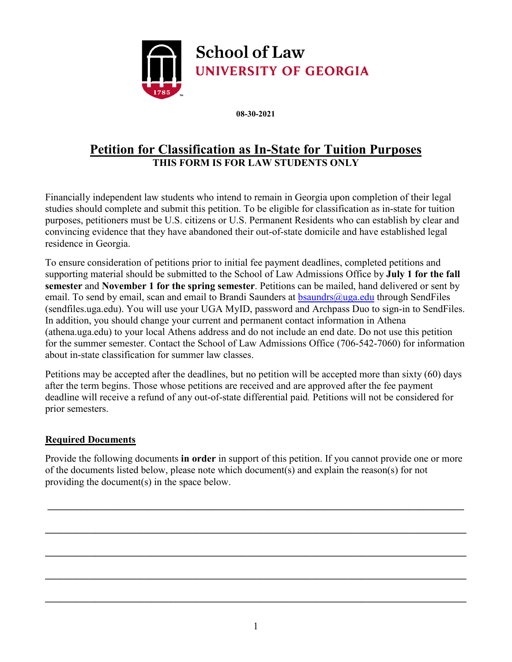

**08-30-2021**

# **Petition for Classification as In-State for Tuition Purposes THIS FORM IS FOR LAW STUDENTS ONLY**

Financially independent law students who intend to remain in Georgia upon completion of their legal studies should complete and submit this petition. To be eligible for classification as in-state for tuition purposes, petitioners must be U.S. citizens or U.S. Permanent Residents who can establish by clear and convincing evidence that they have abandoned their out-of-state domicile and have established legal residence in Georgia.

To ensure consideration of petitions prior to initial fee payment deadlines, completed petitions and supporting material should be submitted to the School of Law Admissions Office by **July 1 for the fall semester** and **November 1 for the spring semester**. Petitions can be mailed, hand delivered or sent by email. To send by email, scan and email to Brandi Saunders at bsaundrs $\omega$ uga.edu through SendFiles (sendfiles.uga.edu). You will use your UGA MyID, password and Archpass Duo to sign-in to SendFiles. In addition, you should change your current and permanent contact information in Athena (athena.uga.edu) to your local Athens address and do not include an end date. Do not use this petition for the summer semester. Contact the School of Law Admissions Office (706-542-7060) for information about in-state classification for summer law classes.

Petitions may be accepted after the deadlines, but no petition will be accepted more than sixty (60) days after the term begins. Those whose petitions are received and are approved after the fee payment deadline will receive a refund of any out-of-state differential paid*.* Petitions will not be considered for prior semesters.

# **Required Documents**

Provide the following documents **in order** in support of this petition. If you cannot provide one or more of the documents listed below, please note which document(s) and explain the reason(s) for not providing the document(s) in the space below.

**\_\_\_\_\_\_\_\_\_\_\_\_\_\_\_\_\_\_\_\_\_\_\_\_\_\_\_\_\_\_\_\_\_\_\_\_\_\_\_\_\_\_\_\_\_\_\_\_\_\_\_\_\_\_\_\_\_\_\_\_\_\_\_\_\_\_\_\_\_\_\_\_\_\_\_\_\_\_\_\_\_\_\_** 

**\_\_\_\_\_\_\_\_\_\_\_\_\_\_\_\_\_\_\_\_\_\_\_\_\_\_\_\_\_\_\_\_\_\_\_\_\_\_\_\_\_\_\_\_\_\_\_\_\_\_\_\_\_\_\_\_\_\_\_\_\_\_\_\_\_\_\_\_\_\_\_\_\_\_\_\_\_\_\_\_\_\_\_\_** 

**\_\_\_\_\_\_\_\_\_\_\_\_\_\_\_\_\_\_\_\_\_\_\_\_\_\_\_\_\_\_\_\_\_\_\_\_\_\_\_\_\_\_\_\_\_\_\_\_\_\_\_\_\_\_\_\_\_\_\_\_\_\_\_\_\_\_\_\_\_\_\_\_\_\_\_\_\_\_\_\_\_\_\_\_** 

**\_\_\_\_\_\_\_\_\_\_\_\_\_\_\_\_\_\_\_\_\_\_\_\_\_\_\_\_\_\_\_\_\_\_\_\_\_\_\_\_\_\_\_\_\_\_\_\_\_\_\_\_\_\_\_\_\_\_\_\_\_\_\_\_\_\_\_\_\_\_\_\_\_\_\_\_\_\_\_\_\_\_\_\_** 

**\_\_\_\_\_\_\_\_\_\_\_\_\_\_\_\_\_\_\_\_\_\_\_\_\_\_\_\_\_\_\_\_\_\_\_\_\_\_\_\_\_\_\_\_\_\_\_\_\_\_\_\_\_\_\_\_\_\_\_\_\_\_\_\_\_\_\_\_\_\_\_\_\_\_\_\_\_\_\_\_\_\_\_\_**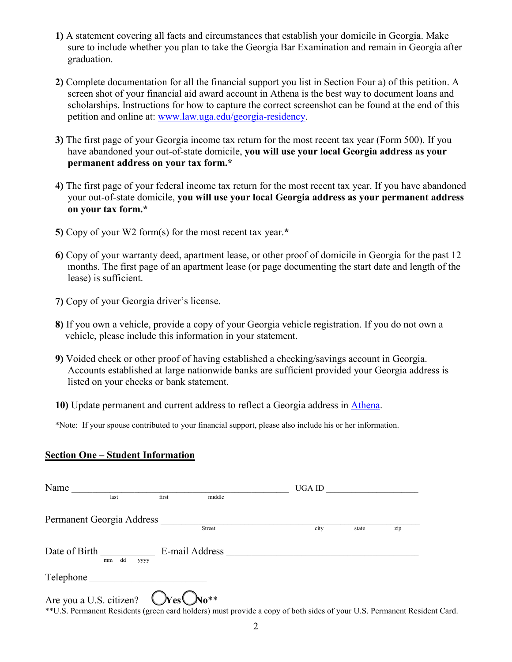- **1)** A statement covering all facts and circumstances that establish your domicile in Georgia. Make sure to include whether you plan to take the Georgia Bar Examination and remain in Georgia after graduation.
- **2)** Complete documentation for all the financial support you list in Section Four a) of this petition. A screen shot of your financial aid award account in Athena is the best way to document loans and scholarships. Instructions for how to capture the correct screenshot can be found at the end of this petition and online at: [www.law.uga.edu/georgia-residency.](http://www.law.uga.edu/georgia-residency)
- **3)** The first page of your Georgia income tax return for the most recent tax year (Form 500). If you have abandoned your out-of-state domicile, **you will use your local Georgia address as your permanent address on your tax form.\***
- **4)** The first page of your federal income tax return for the most recent tax year. If you have abandoned your out-of-state domicile, **you will use your local Georgia address as your permanent address on your tax form.\***
- **5)** Copy of your W2 form(s) for the most recent tax year.**\***
- **6)** Copy of your warranty deed, apartment lease, or other proof of domicile in Georgia for the past 12 months. The first page of an apartment lease (or page documenting the start date and length of the lease) is sufficient.
- **7)** Copy of your Georgia driver's license.
- **8)** If you own a vehicle, provide a copy of your Georgia vehicle registration. If you do not own a vehicle, please include this information in your statement.
- **9)** Voided check or other proof of having established a checking/savings account in Georgia. Accounts established at large nationwide banks are sufficient provided your Georgia address is listed on your checks or bank statement.
- **10)** Update permanent and current address to reflect a Georgia address in [Athena.](https://sis-ssb-prod.uga.edu/PROD/twbkwbis.P_GenMenu?name=homepage)

\*Note: If your spouse contributed to your financial support, please also include his or her information.

#### **Section One – Student Information**

| Name          |                           |                         |        | UGA ID |       |     |
|---------------|---------------------------|-------------------------|--------|--------|-------|-----|
|               | last                      | first                   | middle |        |       |     |
|               | Permanent Georgia Address |                         |        |        |       |     |
|               |                           | Street                  |        | city   | state | zip |
| Date of Birth | dd<br>mm                  | E-mail Address<br>уууу  |        |        |       |     |
| Telephone     |                           |                         |        |        |       |     |
|               | Are you a U.S. citizen?   | $VesC_{\text{No}}^{**}$ |        |        |       |     |

\*\*U.S. Permanent Residents (green card holders) must provide a copy of both sides of your U.S. Permanent Resident Card.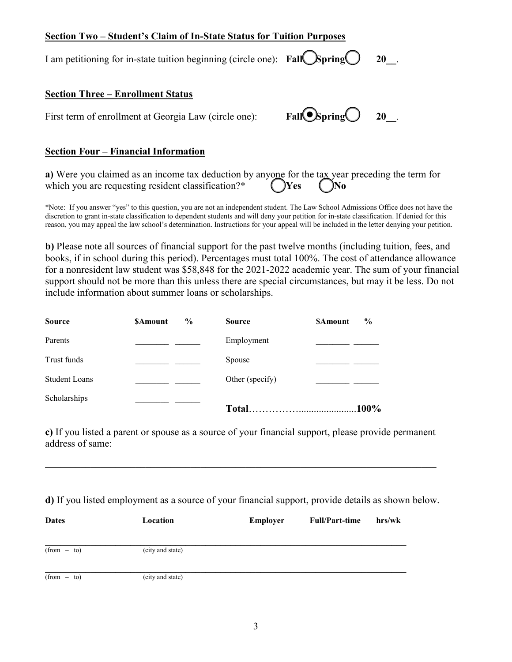# **Section Two – Student's Claim of In-State Status for Tuition Purposes**

I am petitioning for in-state tuition beginning (circle one): **Fall** Spring 20 .

#### **Section Three – Enrollment Status**

First term of enrollment at Georgia Law (circle one): **Fall Spring 20** 20.

## **Section Four – Financial Information**

**a)** Were you claimed as an income tax deduction by anyone for the tax year preceding the term for which you are requesting resident classification?\*  $\binom{ }{\ }$ **Yes**  $\binom{ }{\ }$ **No** 

\*Note: If you answer "yes" to this question, you are not an independent student. The Law School Admissions Office does not have the discretion to grant in-state classification to dependent students and will deny your petition for in-state classification. If denied for this reason, you may appeal the law school's determination. Instructions for your appeal will be included in the letter denying your petition.

**b)** Please note all sources of financial support for the past twelve months (including tuition, fees, and books, if in school during this period). Percentages must total 100%. The cost of attendance allowance for a nonresident law student was \$58,848 for the 2021-2022 academic year. The sum of your financial support should not be more than this unless there are special circumstances, but may it be less. Do not include information about summer loans or scholarships.

| <b>Source</b>        | $\frac{0}{0}$<br><b>SAmount</b> | <b>Source</b>   | $\frac{0}{0}$<br><b>SAmount</b> |
|----------------------|---------------------------------|-----------------|---------------------------------|
| Parents              |                                 | Employment      |                                 |
| Trust funds          |                                 | Spouse          |                                 |
| <b>Student Loans</b> |                                 | Other (specify) |                                 |
| Scholarships         |                                 |                 | $.100\%$                        |

**c)** If you listed a parent or spouse as a source of your financial support, please provide permanent address of same:

\_\_\_\_\_\_\_\_\_\_\_\_\_\_\_\_\_\_\_\_\_\_\_\_\_\_\_\_\_\_\_\_\_\_\_\_\_\_\_\_\_\_\_\_\_\_\_\_\_\_\_\_\_\_\_\_\_\_\_\_\_\_\_\_\_\_\_\_\_\_\_\_\_\_\_\_\_\_

**d)** If you listed employment as a source of your financial support, provide details as shown below.

| <b>Dates</b>  | Location         | Employer | <b>Full/Part-time</b> | hrs/wk |
|---------------|------------------|----------|-----------------------|--------|
| $(from - to)$ | (city and state) |          |                       |        |
| $(from - to)$ | (city and state) |          |                       |        |